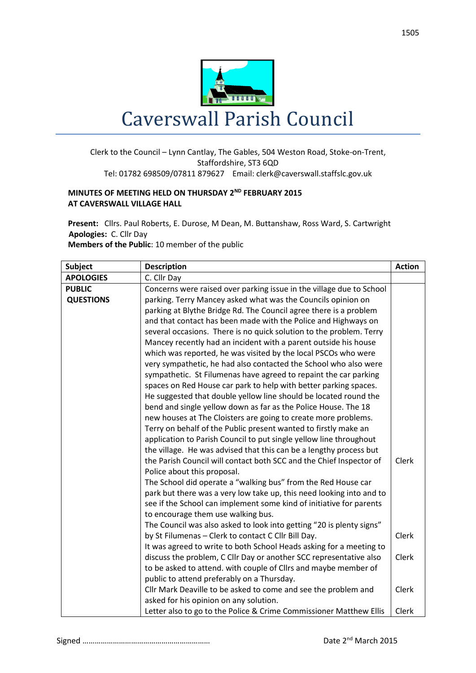

## Clerk to the Council – Lynn Cantlay, The Gables, 504 Weston Road, Stoke-on-Trent, Staffordshire, ST3 6QD Tel: 01782 698509/07811 879627 Email: clerk@caverswall.staffslc.gov.uk

## **MINUTES OF MEETING HELD ON THURSDAY 2<sup>ND</sup> FEBRUARY 2015 AT CAVERSWALL VILLAGE HALL**

**Present:** Cllrs. Paul Roberts, E. Durose, M Dean, M. Buttanshaw, Ross Ward, S. Cartwright  **Apologies:** C. Cllr Day

**Members of the Public**: 10 member of the public

| Subject                           | <b>Description</b>                                                                                                                                                                                                                                                         | <b>Action</b> |
|-----------------------------------|----------------------------------------------------------------------------------------------------------------------------------------------------------------------------------------------------------------------------------------------------------------------------|---------------|
| <b>APOLOGIES</b>                  | C. Cllr Day                                                                                                                                                                                                                                                                |               |
| <b>PUBLIC</b><br><b>QUESTIONS</b> | Concerns were raised over parking issue in the village due to School<br>parking. Terry Mancey asked what was the Councils opinion on<br>parking at Blythe Bridge Rd. The Council agree there is a problem                                                                  |               |
|                                   | and that contact has been made with the Police and Highways on<br>several occasions. There is no quick solution to the problem. Terry<br>Mancey recently had an incident with a parent outside his house<br>which was reported, he was visited by the local PSCOs who were |               |
|                                   | very sympathetic, he had also contacted the School who also were<br>sympathetic. St Filumenas have agreed to repaint the car parking<br>spaces on Red House car park to help with better parking spaces.                                                                   |               |
|                                   | He suggested that double yellow line should be located round the<br>bend and single yellow down as far as the Police House. The 18<br>new houses at The Cloisters are going to create more problems.                                                                       |               |
|                                   | Terry on behalf of the Public present wanted to firstly make an<br>application to Parish Council to put single yellow line throughout<br>the village. He was advised that this can be a lengthy process but                                                                |               |
|                                   | the Parish Council will contact both SCC and the Chief Inspector of<br>Police about this proposal.                                                                                                                                                                         | Clerk         |
|                                   | The School did operate a "walking bus" from the Red House car<br>park but there was a very low take up, this need looking into and to<br>see if the School can implement some kind of initiative for parents<br>to encourage them use walking bus.                         |               |
|                                   | The Council was also asked to look into getting "20 is plenty signs"<br>by St Filumenas - Clerk to contact C Cllr Bill Day.<br>It was agreed to write to both School Heads asking for a meeting to                                                                         | Clerk         |
|                                   | discuss the problem, C Cllr Day or another SCC representative also<br>to be asked to attend. with couple of Cllrs and maybe member of<br>public to attend preferably on a Thursday.                                                                                        | Clerk         |
|                                   | Cllr Mark Deaville to be asked to come and see the problem and<br>asked for his opinion on any solution.                                                                                                                                                                   | Clerk         |
|                                   | Letter also to go to the Police & Crime Commissioner Matthew Ellis                                                                                                                                                                                                         | Clerk         |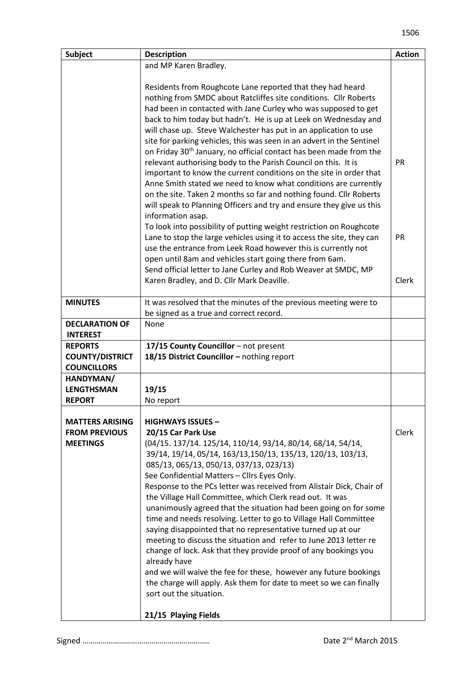| <b>Subject</b>                           | <b>Description</b>                                                                                                                    | <b>Action</b> |
|------------------------------------------|---------------------------------------------------------------------------------------------------------------------------------------|---------------|
|                                          | and MP Karen Bradley.                                                                                                                 |               |
|                                          |                                                                                                                                       |               |
|                                          | Residents from Roughcote Lane reported that they had heard                                                                            |               |
|                                          | nothing from SMDC about Ratcliffes site conditions. Cllr Roberts                                                                      |               |
|                                          | had been in contacted with Jane Curley who was supposed to get                                                                        |               |
|                                          | back to him today but hadn't. He is up at Leek on Wednesday and                                                                       |               |
|                                          | will chase up. Steve Walchester has put in an application to use                                                                      |               |
|                                          | site for parking vehicles, this was seen in an advert in the Sentinel                                                                 |               |
|                                          | on Friday 30 <sup>th</sup> January, no official contact has been made from the                                                        |               |
|                                          | relevant authorising body to the Parish Council on this. It is                                                                        | <b>PR</b>     |
|                                          | important to know the current conditions on the site in order that                                                                    |               |
|                                          | Anne Smith stated we need to know what conditions are currently<br>on the site. Taken 2 months so far and nothing found. Cllr Roberts |               |
|                                          | will speak to Planning Officers and try and ensure they give us this                                                                  |               |
|                                          | information asap.                                                                                                                     |               |
|                                          | To look into possibility of putting weight restriction on Roughcote                                                                   |               |
|                                          | Lane to stop the large vehicles using it to access the site, they can                                                                 | <b>PR</b>     |
|                                          | use the entrance from Leek Road however this is currently not                                                                         |               |
|                                          | open until 8am and vehicles start going there from 6am.                                                                               |               |
|                                          | Send official letter to Jane Curley and Rob Weaver at SMDC, MP                                                                        |               |
|                                          | Karen Bradley, and D. Cllr Mark Deaville.                                                                                             | Clerk         |
|                                          |                                                                                                                                       |               |
| <b>MINUTES</b>                           | It was resolved that the minutes of the previous meeting were to                                                                      |               |
|                                          | be signed as a true and correct record.                                                                                               |               |
| <b>DECLARATION OF</b><br><b>INTEREST</b> | None                                                                                                                                  |               |
| <b>REPORTS</b>                           | 17/15 County Councillor - not present                                                                                                 |               |
| <b>COUNTY/DISTRICT</b>                   | 18/15 District Councillor - nothing report                                                                                            |               |
| <b>COUNCILLORS</b>                       |                                                                                                                                       |               |
| HANDYMAN/                                |                                                                                                                                       |               |
| <b>LENGTHSMAN</b>                        | 19/15                                                                                                                                 |               |
| <b>REPORT</b>                            | No report                                                                                                                             |               |
|                                          |                                                                                                                                       |               |
| <b>MATTERS ARISING</b>                   | <b>HIGHWAYS ISSUES -</b>                                                                                                              |               |
| <b>FROM PREVIOUS</b>                     | 20/15 Car Park Use                                                                                                                    | Clerk         |
| <b>MEETINGS</b>                          | (04/15. 137/14. 125/14, 110/14, 93/14, 80/14, 68/14, 54/14,                                                                           |               |
|                                          | 39/14, 19/14, 05/14, 163/13, 150/13, 135/13, 120/13, 103/13,<br>085/13, 065/13, 050/13, 037/13, 023/13)                               |               |
|                                          | See Confidential Matters - Cllrs Eyes Only.                                                                                           |               |
|                                          | Response to the PCs letter was received from Alistair Dick, Chair of                                                                  |               |
|                                          | the Village Hall Committee, which Clerk read out. It was                                                                              |               |
|                                          | unanimously agreed that the situation had been going on for some                                                                      |               |
|                                          | time and needs resolving. Letter to go to Village Hall Committee                                                                      |               |
|                                          | saying disappointed that no representative turned up at our                                                                           |               |
|                                          | meeting to discuss the situation and refer to June 2013 letter re                                                                     |               |
|                                          | change of lock. Ask that they provide proof of any bookings you                                                                       |               |
|                                          | already have                                                                                                                          |               |
|                                          | and we will waive the fee for these, however any future bookings                                                                      |               |
|                                          | the charge will apply. Ask them for date to meet so we can finally                                                                    |               |
|                                          | sort out the situation.                                                                                                               |               |
|                                          | 21/15 Playing Fields                                                                                                                  |               |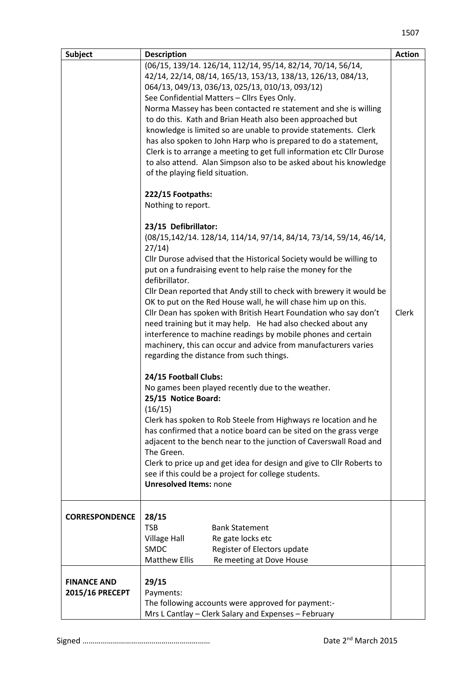| <b>Subject</b>                        | <b>Description</b>                                                                                                                                                                                                                                                                                                                                                                                                                                                                                                                                                                                                                                                                                                                                                                                                                                                                                                                                                                                                                                                                                                                                                                                                                                                                                                                                                                                                                                                                                                                                                                                                                                                                                                                                                                                                                                                                                                                                                      | <b>Action</b> |
|---------------------------------------|-------------------------------------------------------------------------------------------------------------------------------------------------------------------------------------------------------------------------------------------------------------------------------------------------------------------------------------------------------------------------------------------------------------------------------------------------------------------------------------------------------------------------------------------------------------------------------------------------------------------------------------------------------------------------------------------------------------------------------------------------------------------------------------------------------------------------------------------------------------------------------------------------------------------------------------------------------------------------------------------------------------------------------------------------------------------------------------------------------------------------------------------------------------------------------------------------------------------------------------------------------------------------------------------------------------------------------------------------------------------------------------------------------------------------------------------------------------------------------------------------------------------------------------------------------------------------------------------------------------------------------------------------------------------------------------------------------------------------------------------------------------------------------------------------------------------------------------------------------------------------------------------------------------------------------------------------------------------------|---------------|
|                                       | (06/15, 139/14. 126/14, 112/14, 95/14, 82/14, 70/14, 56/14,<br>42/14, 22/14, 08/14, 165/13, 153/13, 138/13, 126/13, 084/13,<br>064/13, 049/13, 036/13, 025/13, 010/13, 093/12)<br>See Confidential Matters - Cllrs Eyes Only.<br>Norma Massey has been contacted re statement and she is willing<br>to do this. Kath and Brian Heath also been approached but<br>knowledge is limited so are unable to provide statements. Clerk<br>has also spoken to John Harp who is prepared to do a statement,<br>Clerk is to arrange a meeting to get full information etc Cllr Durose<br>to also attend. Alan Simpson also to be asked about his knowledge<br>of the playing field situation.<br>222/15 Footpaths:<br>Nothing to report.<br>23/15 Defibrillator:<br>(08/15,142/14. 128/14, 114/14, 97/14, 84/14, 73/14, 59/14, 46/14,<br>27/14)<br>Cllr Durose advised that the Historical Society would be willing to<br>put on a fundraising event to help raise the money for the<br>defibrillator.<br>Cllr Dean reported that Andy still to check with brewery it would be<br>OK to put on the Red House wall, he will chase him up on this.<br>Cllr Dean has spoken with British Heart Foundation who say don't<br>need training but it may help. He had also checked about any<br>interference to machine readings by mobile phones and certain<br>machinery, this can occur and advice from manufacturers varies<br>regarding the distance from such things.<br>24/15 Football Clubs:<br>No games been played recently due to the weather.<br>25/15 Notice Board:<br>(16/15)<br>Clerk has spoken to Rob Steele from Highways re location and he<br>has confirmed that a notice board can be sited on the grass verge<br>adjacent to the bench near to the junction of Caverswall Road and<br>The Green.<br>Clerk to price up and get idea for design and give to Cllr Roberts to<br>see if this could be a project for college students.<br><b>Unresolved Items: none</b> | Clerk         |
|                                       |                                                                                                                                                                                                                                                                                                                                                                                                                                                                                                                                                                                                                                                                                                                                                                                                                                                                                                                                                                                                                                                                                                                                                                                                                                                                                                                                                                                                                                                                                                                                                                                                                                                                                                                                                                                                                                                                                                                                                                         |               |
| <b>CORRESPONDENCE</b>                 | 28/15<br><b>TSB</b><br><b>Bank Statement</b><br>Village Hall<br>Re gate locks etc<br><b>SMDC</b><br>Register of Electors update<br><b>Matthew Ellis</b><br>Re meeting at Dove House                                                                                                                                                                                                                                                                                                                                                                                                                                                                                                                                                                                                                                                                                                                                                                                                                                                                                                                                                                                                                                                                                                                                                                                                                                                                                                                                                                                                                                                                                                                                                                                                                                                                                                                                                                                     |               |
| <b>FINANCE AND</b><br>2015/16 PRECEPT | 29/15<br>Payments:<br>The following accounts were approved for payment:-<br>Mrs L Cantlay - Clerk Salary and Expenses - February                                                                                                                                                                                                                                                                                                                                                                                                                                                                                                                                                                                                                                                                                                                                                                                                                                                                                                                                                                                                                                                                                                                                                                                                                                                                                                                                                                                                                                                                                                                                                                                                                                                                                                                                                                                                                                        |               |